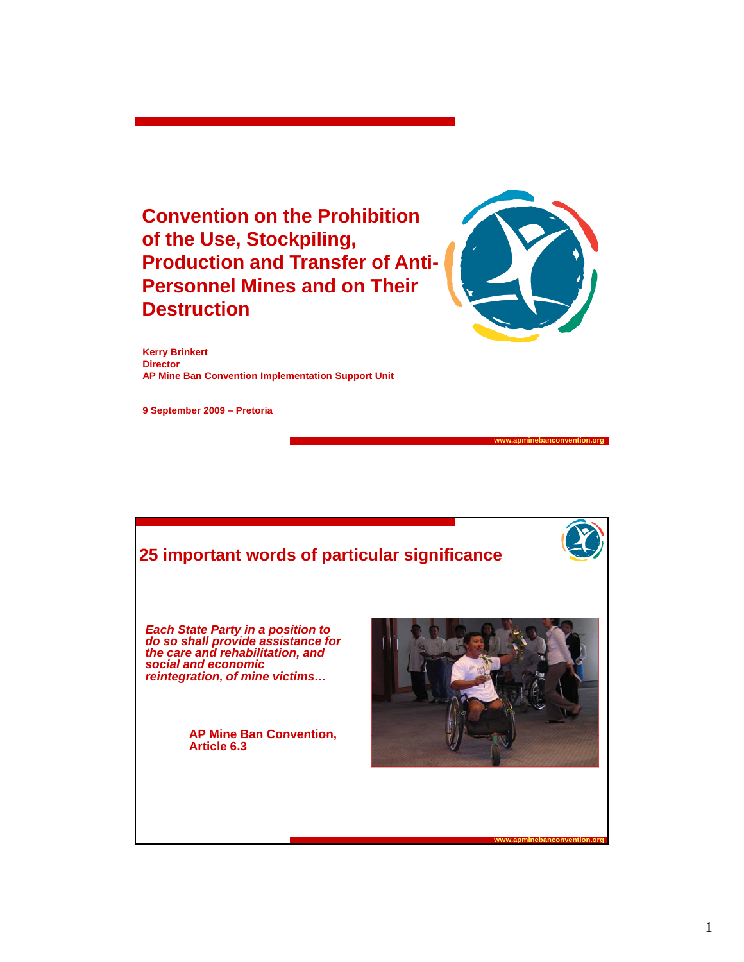**Convention on the Prohibition of the Use, Stockpiling, Production and Transfer of Anti-Personnel Mines and on Their Destruction**



**www.apminebanconvention.org**

**Kerry Brinkert Director AP Mine Ban Convention Implementation Support Unit**

**9 September 2009 – Pretoria**

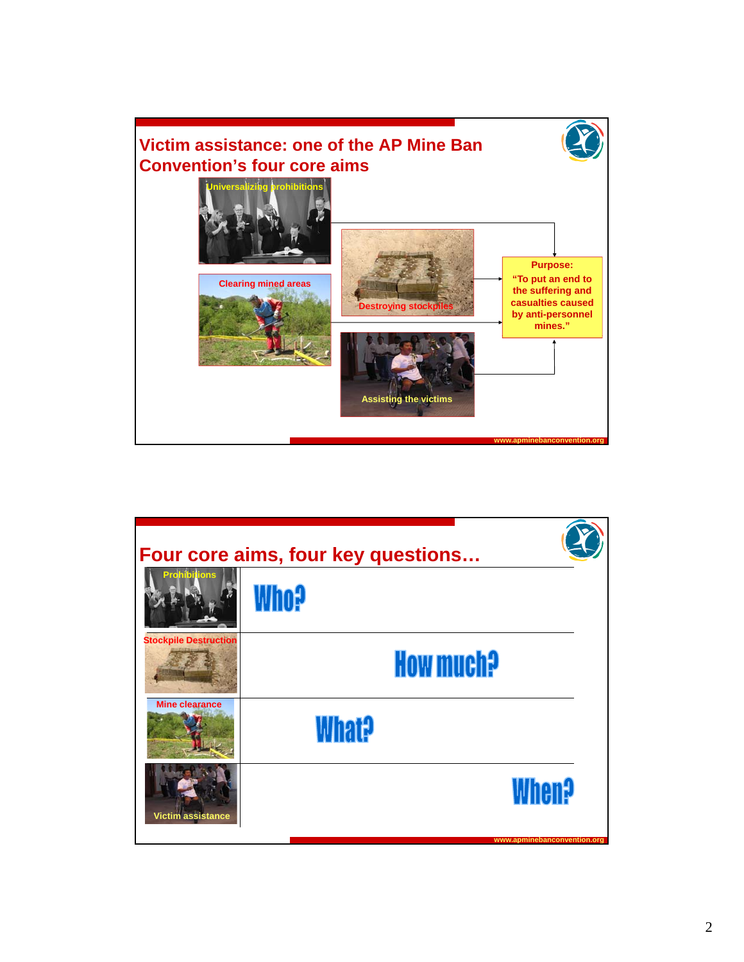

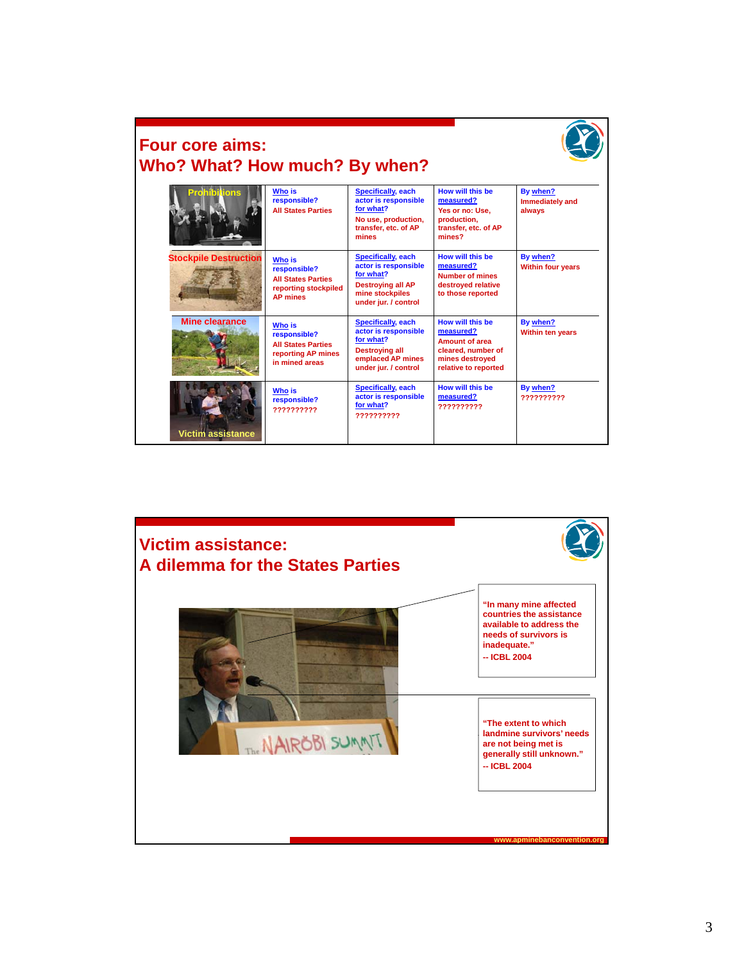

## **Four core aims: Who? What? How much? By when?**

| Prohibilions                 | <b>Who is</b><br>responsible?<br><b>All States Parties</b>                                            | <b>Specifically, each</b><br>actor is responsible<br>for what?<br>No use, production,<br>transfer, etc. of AP<br>mines                | How will this be<br>measured?<br>Yes or no: Use.<br>production,<br>transfer, etc. of AP<br>mines?                | By when?<br><b>Immediately and</b><br>always |
|------------------------------|-------------------------------------------------------------------------------------------------------|---------------------------------------------------------------------------------------------------------------------------------------|------------------------------------------------------------------------------------------------------------------|----------------------------------------------|
| <b>Stockpile Destruction</b> | <b>Who is</b><br>responsible?<br><b>All States Parties</b><br>reporting stockpiled<br><b>AP mines</b> | <b>Specifically, each</b><br>actor is responsible<br>for what?<br><b>Destroving all AP</b><br>mine stockpiles<br>under jur. / control | How will this he<br>measured?<br>Number of mines<br>destroved relative<br>to those reported                      | By when?<br><b>Within four years</b>         |
| <b>Mine clearance</b>        | <b>Who is</b><br>responsible?<br><b>All States Parties</b><br>reporting AP mines<br>in mined areas    | <b>Specifically, each</b><br>actor is responsible<br>for what?<br><b>Destroying all</b><br>emplaced AP mines<br>under jur. / control  | How will this he<br>measured?<br>Amount of area<br>cleared, number of<br>mines destroyed<br>relative to reported | By when?<br><b>Within ten years</b>          |
| Victim assistance            | Who is<br>responsible?<br>7777777777                                                                  | Specifically, each<br>actor is responsible<br>for what?<br>??????????                                                                 | How will this be<br>measured?<br>7777777777                                                                      | By when?<br>7777777777                       |

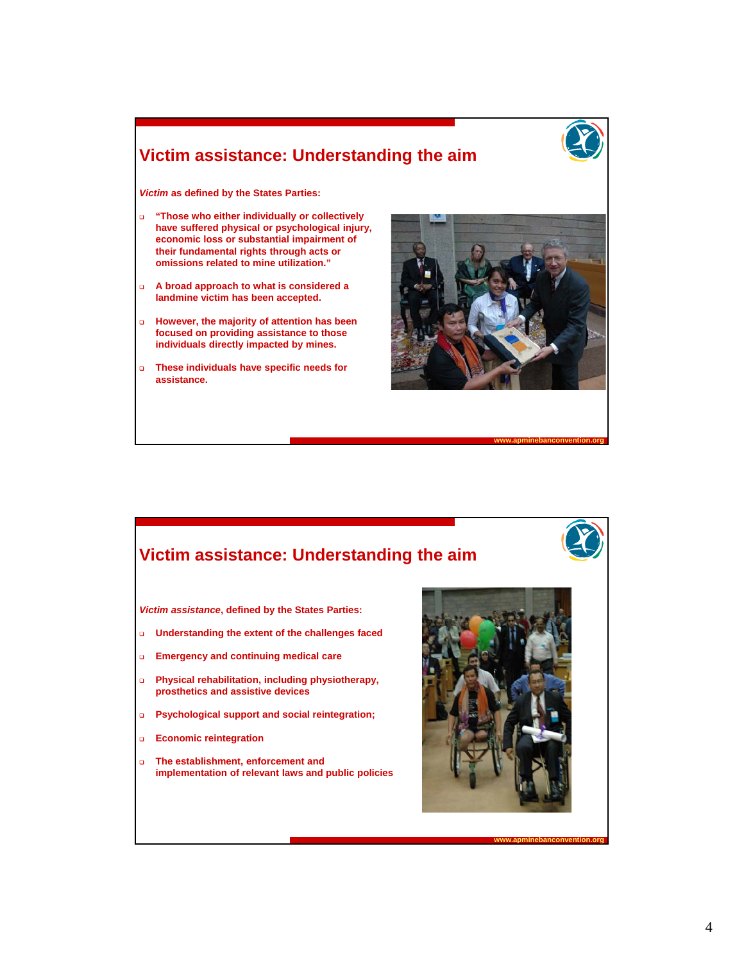

#### **Victim assistance: Understanding the aim**

*Victim* **as defined by the States Parties:**

- **"Those who either individually or collectively have suffered physical or psychological injury have suffered physical or psychological injury, economic loss or substantial impairment of their fundamental rights through acts or omissions related to mine utilization."**
- **A broad approach to what is considered a landmine victim has been accepted.**
- **However, the majority of attention has been focused on providing assistance to those focused on providing assistance to individuals directly impacted by mines.**
- **These individuals have specific needs for assistance.**



**www.apminebanconvention.org**

#### **Victim assistance: Understanding the aim**

*Victim assistance***, defined by the States Parties:**

- **Understanding the extent of the challenges faced**
- **Emergency and continuing medical care**
- **Physical rehabilitation, including physiotherapy, prosthetics and assistive devices**
- **Psychological support and social reintegration;**
- **Economic reintegration**
- **The establishment, enforcement and implementation of relevant laws and public policies**

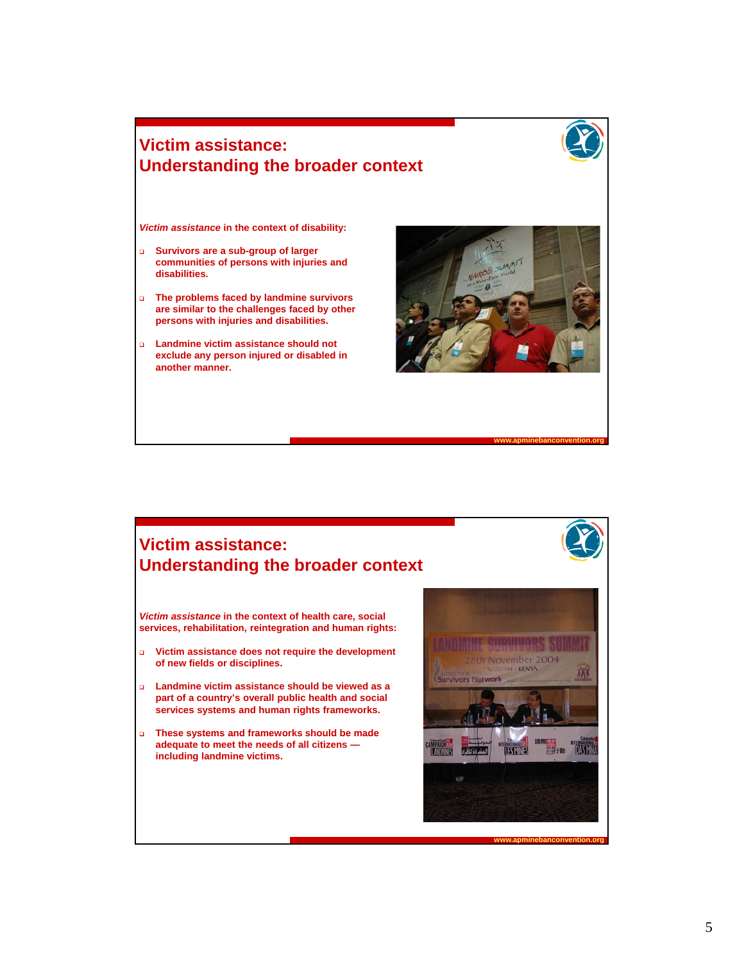#### **Victim assistance: Understanding the broader context**

*Victim assistance Victim* **in the context of disability: in the context of**

- **Survivors are a sub-group of larger communities of persons with injuries and disabilities.**
- **The problems faced by landmine survivors are similar to the challenges faced by other persons with injuries and disabilities.**
- **Landmine victim assistance should not exclude any person injured or disabled in another manner.**



**www.apminebanconvention.org**

#### **Victim assistance: Understanding the broader context**

*Victim assistance* **in the context of health care, social**   $s$ ervices, rehabilitation, reintegration and human rights:

- **Victim assistance does not require the development of new fields or disciplines.**
- **Landmine victim assistance should be viewed as a part of a country's overall public health and social services systems and human rights frameworks.**
- **These systems and frameworks should be made These systems and frameworks should be adequate to meet the needs of all citizens including landmine victims.**

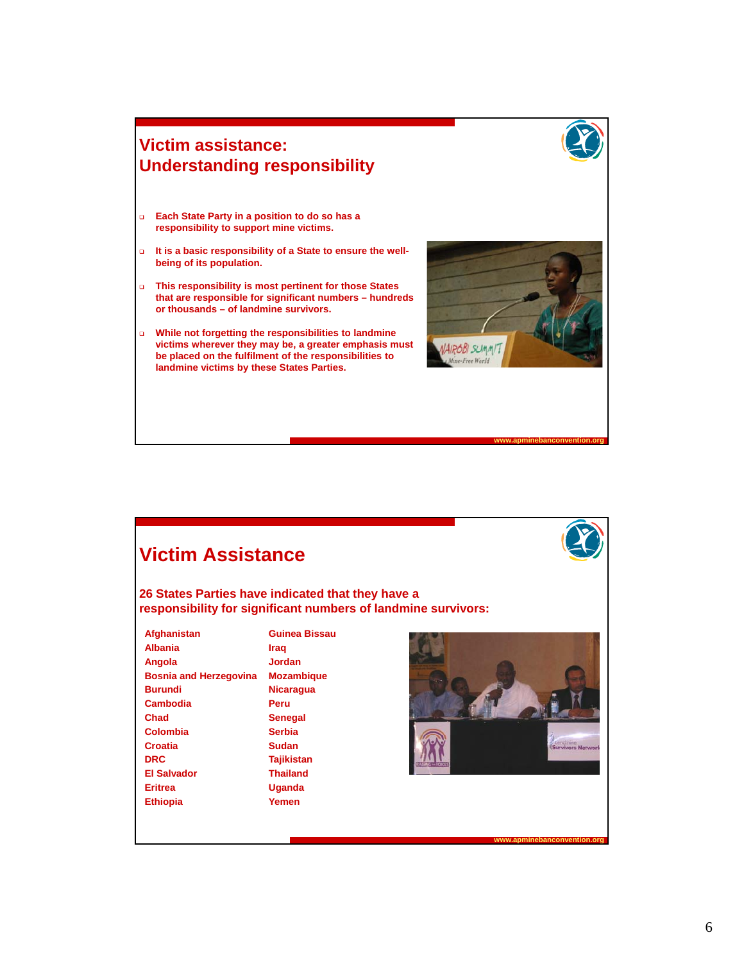

- **Each State Party in a position to do so has a responsibility to support mine victims responsibility to support mine victims.**
- **It is a basic responsibility of a State to ensure the wellbeing of its population.**
- **This responsibility is most pertinent for those States that are responsible for significant numbers – hundreds or thousands – of landmine survivors.**
- **While not forgetting the responsibilities to landmine While not forgetting the responsibilities to victims wherever they may be, a greater emphasis must be placed on the fulfilment of the responsibilities to landmine victims by these States Parties.**



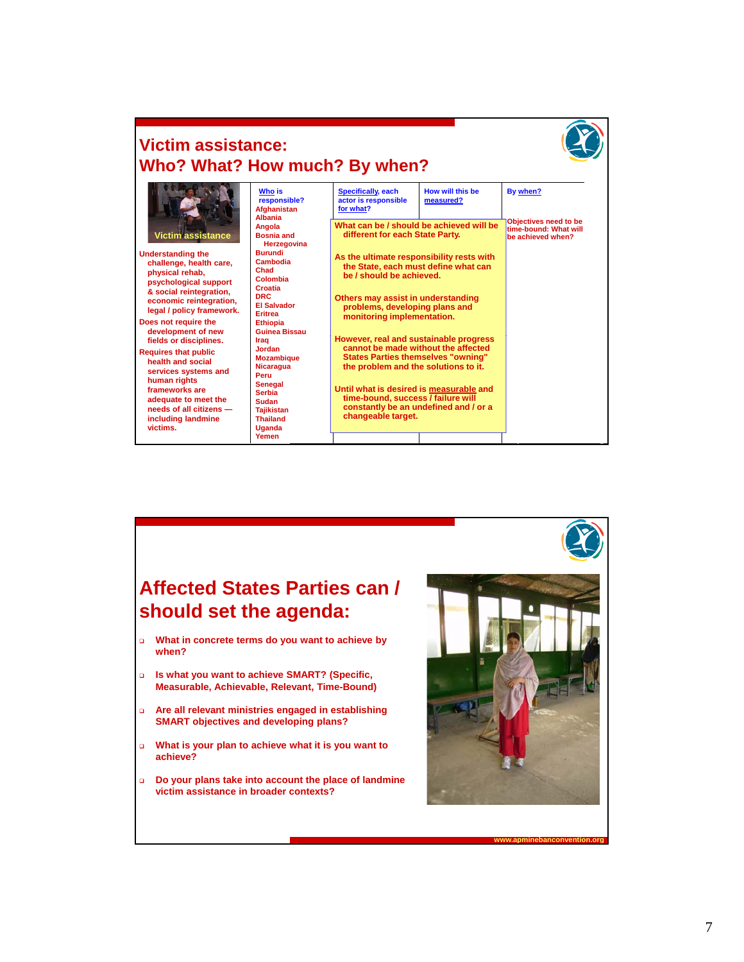

## **Victim assistance: Who? What? How much? By when?**

| Victim assistance<br><b>Understanding the</b><br>challenge, health care,<br>physical rehab,<br>psychological support                                                                | <b>Who is</b><br>responsible?<br><b>Afghanistan</b><br><b>Albania</b>            | <b>Specifically, each</b><br>actor is responsible<br>for what?                                     | How will this be<br>measured?                                                                                                                                                                                                     | By when?<br><b>Objectives need to be</b> |
|-------------------------------------------------------------------------------------------------------------------------------------------------------------------------------------|----------------------------------------------------------------------------------|----------------------------------------------------------------------------------------------------|-----------------------------------------------------------------------------------------------------------------------------------------------------------------------------------------------------------------------------------|------------------------------------------|
|                                                                                                                                                                                     | Angola<br><b>Bosnia and</b><br>Herzegovina                                       |                                                                                                    | What can be / should be achieved will be<br>different for each State Party.                                                                                                                                                       |                                          |
|                                                                                                                                                                                     | <b>Burundi</b><br>Cambodia<br>Chad<br>Colombia<br>Croatia                        |                                                                                                    | As the ultimate responsibility rests with<br>the State, each must define what can<br>be / should be achieved.                                                                                                                     |                                          |
| & social reintegration,<br>economic reintegration,<br>legal / policy framework.                                                                                                     | DRC.<br><b>FI Salvador</b><br><b>Eritrea</b>                                     | Others may assist in understanding<br>problems, developing plans and<br>monitoring implementation. |                                                                                                                                                                                                                                   |                                          |
| Does not require the<br>development of new<br>fields or disciplines.                                                                                                                | <b>Ethiopia</b><br>Guinea Bissau<br>Iraa<br><b>Jordan</b>                        | However, real and sustainable progress<br>cannot be made without the affected                      |                                                                                                                                                                                                                                   |                                          |
| <b>Requires that public</b><br>health and social<br>services systems and<br>human rights<br>frameworks are<br>adequate to meet the<br>needs of all citizens -<br>including landmine | <b>Mozambique</b><br><b>Nicaragua</b><br>Peru                                    |                                                                                                    | <b>States Parties themselves "owning"</b><br>the problem and the solutions to it.<br>Until what is desired is measurable and<br>time-bound, success / failure will<br>constantly be an undefined and / or a<br>changeable target. |                                          |
|                                                                                                                                                                                     | <b>Senegal</b><br><b>Serbia</b><br>Sudan<br><b>Taiikistan</b><br><b>Thailand</b> |                                                                                                    |                                                                                                                                                                                                                                   |                                          |
| victims.                                                                                                                                                                            | Uganda<br>Yemen                                                                  |                                                                                                    |                                                                                                                                                                                                                                   |                                          |

## **Affected States Parties can / should set the agenda:**

- **What in concrete terms do you want to achieve by when?**
- **Is what you want to achieve SMART? (Specific, Measurable, Achievable, Relevant, Time-Bound)**
- **Are all relevant ministries engaged in establishing SMART objectives and developing plans?**
- **What is your plan to achieve what it is you want to achieve?**
- **Do your plans take into account the place of landmine victim assistance in broader contexts?**

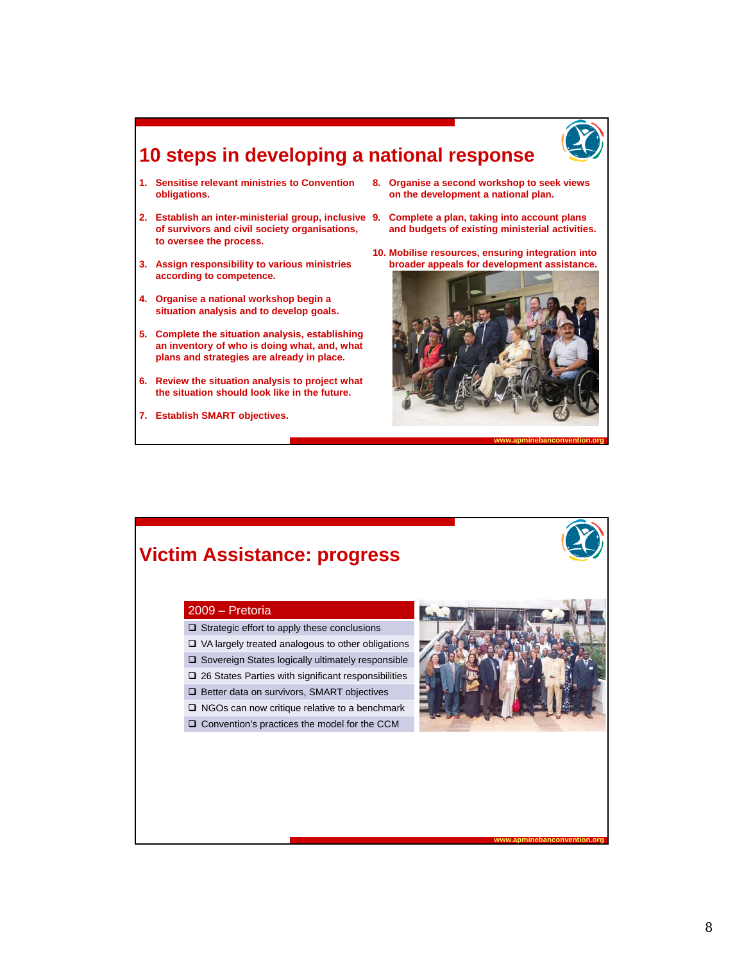

### **10 steps in developing a national response**

- **1. Sensitise relevant ministries to Convention obligations.**
- **2. Establish an inter-ministerial group, inclusive 9. Complete a plan, taking into account plans**  of survivors and civil society organisations, and budgets of existing ministerial activiti **to oversee the process.**
- **3. Assign responsibility to various ministries according to competence.**
- **4. Organise a national workshop begin a situation analysis and to develop goals.**
- **5 Complete the situation analysis establishing findal inventory of who is doing what, and, what plans and strategies are already in place.**
- **6. Review the situation analysis to project what the situation should look like in the future.**
- **7. Establish SMART objectives.**
- **8. Organise a second workshop to seek views on the development a national plan.**
- **and budgets of existing ministerial activities.**
- **10. Mobilise resources, ensuring integration into broader appeals for development assistance.**



## **Victim Assistance: progress**

#### 2009 – Pretoria

- $\Box$  Strategic effort to apply these conclusions
- $\Box$  VA largely treated analogous to other obligations
- □ Sovereign States logically ultimately responsible
- □ 26 States Parties with significant responsibilities
- □ Better data on survivors, SMART objectives
- □ NGOs can now critique relative to a benchmark
- □ Convention's practices the model for the CCM